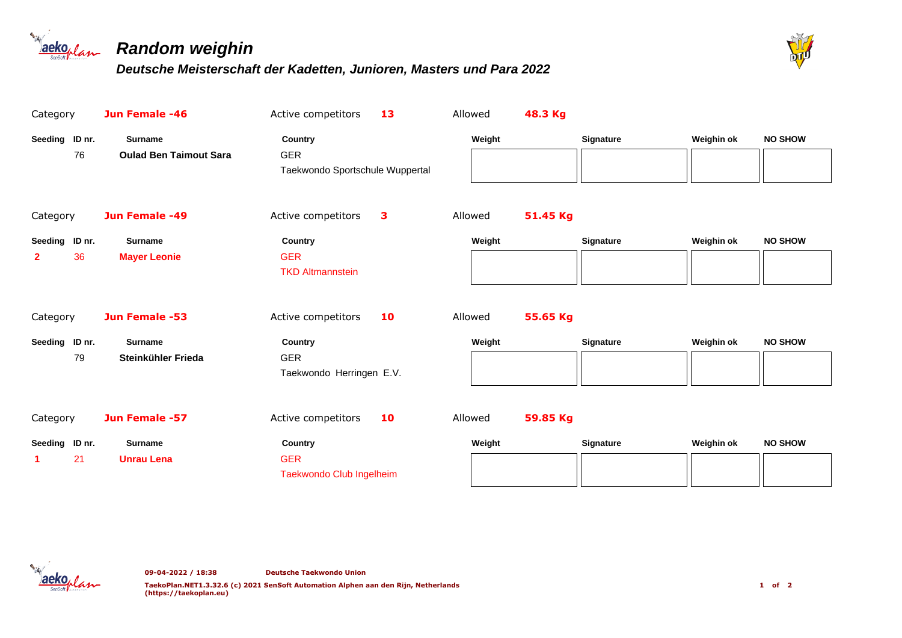



| Category                             | Jun Female -46                                  | Active competitors                                       | 13 | Allowed | 48.3 Kg  |                  |            |                |
|--------------------------------------|-------------------------------------------------|----------------------------------------------------------|----|---------|----------|------------------|------------|----------------|
| Seeding ID nr.<br>76                 | <b>Surname</b><br><b>Oulad Ben Taimout Sara</b> | Country<br><b>GER</b><br>Taekwondo Sportschule Wuppertal |    | Weight  |          | <b>Signature</b> | Weighin ok | <b>NO SHOW</b> |
| Category                             | Jun Female -49                                  | Active competitors                                       | 3  | Allowed | 51.45 Kg |                  |            |                |
| Seeding ID nr.<br>36<br>$\mathbf{2}$ | <b>Surname</b><br><b>Mayer Leonie</b>           | Country<br><b>GER</b><br><b>TKD Altmannstein</b>         |    | Weight  |          | <b>Signature</b> | Weighin ok | <b>NO SHOW</b> |
| Category                             | Jun Female -53                                  | Active competitors                                       | 10 | Allowed | 55.65 Kg |                  |            |                |
| Seeding ID nr.<br>79                 | <b>Surname</b><br>Steinkühler Frieda            | Country<br><b>GER</b><br>Taekwondo Herringen E.V.        |    | Weight  |          | Signature        | Weighin ok | <b>NO SHOW</b> |
| Category                             | Jun Female -57                                  | Active competitors                                       | 10 | Allowed | 59.85 Kg |                  |            |                |
| Seeding ID nr.<br>21                 | <b>Surname</b><br><b>Unrau Lena</b>             | Country<br><b>GER</b><br>Taekwondo Club Ingelheim        |    | Weight  |          | <b>Signature</b> | Weighin ok | <b>NO SHOW</b> |

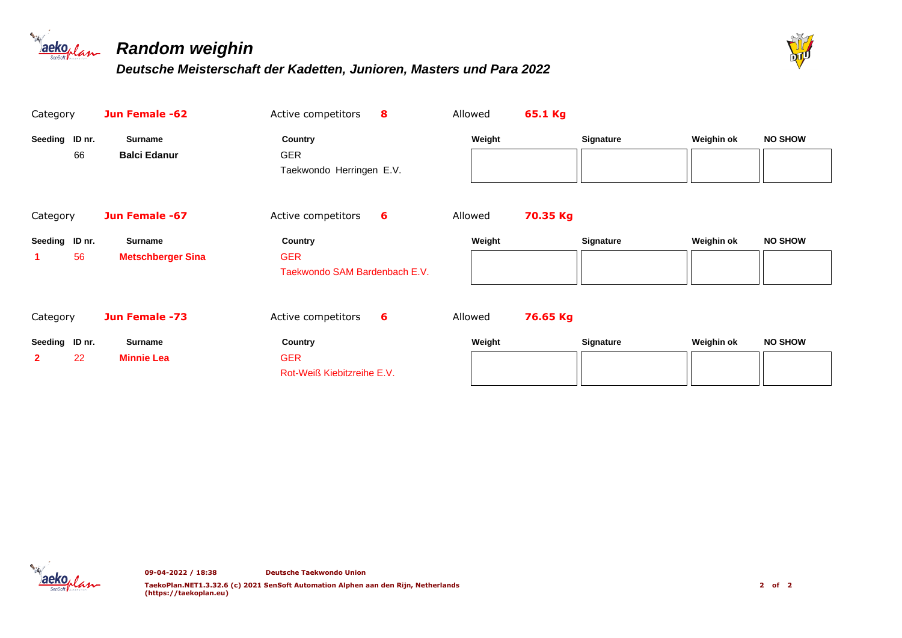

# *Random weighin*



| Category                             | Jun Female -62                             | Active competitors                                       | 8 | Allowed | 65.1 Kg  |                  |            |                |
|--------------------------------------|--------------------------------------------|----------------------------------------------------------|---|---------|----------|------------------|------------|----------------|
| Seeding ID nr.<br>66                 | <b>Surname</b><br><b>Balci Edanur</b>      | <b>Country</b><br><b>GER</b><br>Taekwondo Herringen E.V. |   | Weight  |          | <b>Signature</b> | Weighin ok | <b>NO SHOW</b> |
| Category                             | Jun Female -67                             | Active competitors                                       | 6 | Allowed | 70.35 Kg |                  |            |                |
| Seeding ID nr.<br>56                 | <b>Surname</b><br><b>Metschberger Sina</b> | Country<br><b>GER</b><br>Taekwondo SAM Bardenbach E.V.   |   | Weight  |          | <b>Signature</b> | Weighin ok | <b>NO SHOW</b> |
| Category                             | Jun Female -73                             | Active competitors                                       | 6 | Allowed | 76.65 Kg |                  |            |                |
| Seeding ID nr.<br>22<br>$\mathbf{2}$ | <b>Surname</b><br><b>Minnie Lea</b>        | Country<br><b>GER</b><br>Rot-Weiß Kiebitzreihe E.V.      |   | Weight  |          | <b>Signature</b> | Weighin ok | <b>NO SHOW</b> |

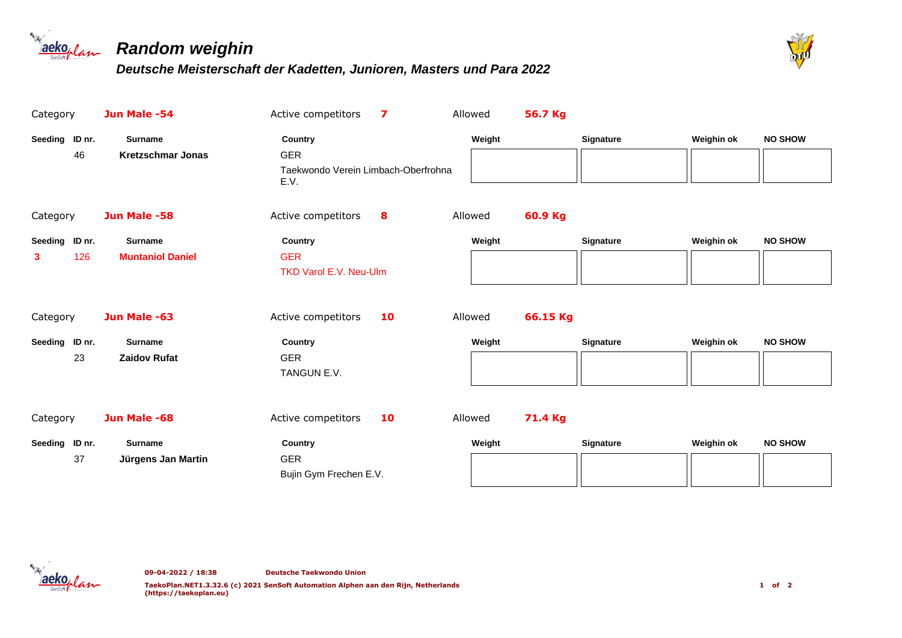



| Category                   | Jun Male -54                               | $\overline{\mathbf{z}}$<br>Active competitors                        |    | 56.7 Kg<br>Allowed  |                  |            |                |
|----------------------------|--------------------------------------------|----------------------------------------------------------------------|----|---------------------|------------------|------------|----------------|
| Seeding ID nr.<br>46       | <b>Surname</b><br><b>Kretzschmar Jonas</b> | Country<br><b>GER</b><br>Taekwondo Verein Limbach-Oberfrohna<br>E.V. |    | Weight              | Signature        | Weighin ok | <b>NO SHOW</b> |
| Category                   | Jun Male -58                               | Active competitors<br>8                                              |    | 60.9 Kg<br>Allowed  |                  |            |                |
| Seeding ID nr.<br>126<br>3 | <b>Surname</b><br><b>Muntaniol Daniel</b>  | Country<br><b>GER</b><br><b>TKD Varol E.V. Neu-Ulm</b>               |    | Weight              | <b>Signature</b> | Weighin ok | <b>NO SHOW</b> |
| Category                   | Jun Male -63                               | Active competitors                                                   | 10 | 66.15 Kg<br>Allowed |                  |            |                |
| Seeding ID nr.<br>23       | <b>Surname</b><br><b>Zaidov Rufat</b>      | Country<br><b>GER</b><br>TANGUN E.V.                                 |    | Weight              | <b>Signature</b> | Weighin ok | <b>NO SHOW</b> |
| Category                   | Jun Male -68                               | Active competitors                                                   | 10 | 71.4 Kg<br>Allowed  |                  |            |                |
| Seeding ID nr.<br>37       | Surname<br>Jürgens Jan Martin              | Country<br><b>GER</b><br>Bujin Gym Frechen E.V.                      |    | Weight              | <b>Signature</b> | Weighin ok | <b>NO SHOW</b> |